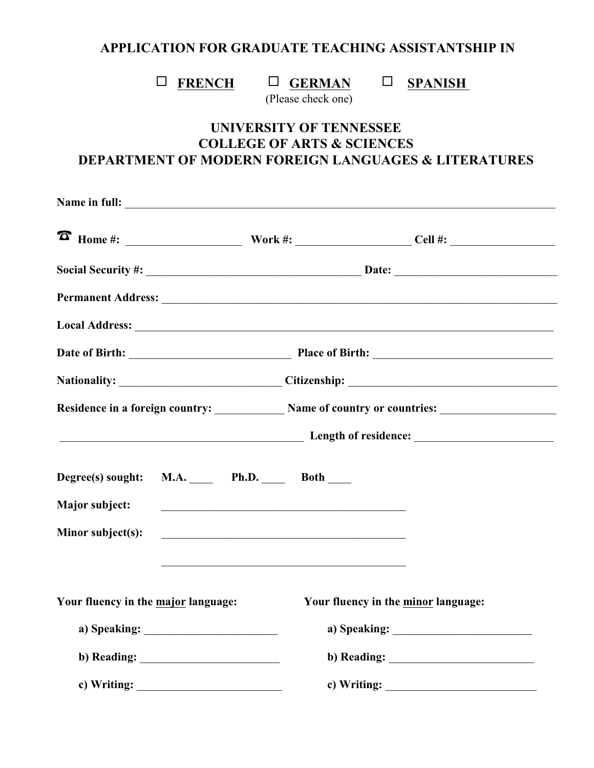## **APPLICATION FOR GRADUATE TEACHING ASSISTANTSHIP IN**

# $\Box$  **FRENCH**  $\Box$  **GERMAN**  $\Box$  **SPANISH**

(Please check one)

## **UNIVERSITY OF TENNESSEE COLLEGE OF ARTS & SCIENCES DEPARTMENT OF MODERN FOREIGN LANGUAGES & LITERATURES**

|                                     |                                                                                                                                                                                                                                                                                                                                                                                                          |  | Local Address: Note and Address: Note and Address: Note and Address: Note and Address: Note and Address: Note and Address: Note and Address: Note and Address: Note and Address: Note and Address: Note and Address: Note and                                                                                                                                                                            |
|-------------------------------------|----------------------------------------------------------------------------------------------------------------------------------------------------------------------------------------------------------------------------------------------------------------------------------------------------------------------------------------------------------------------------------------------------------|--|----------------------------------------------------------------------------------------------------------------------------------------------------------------------------------------------------------------------------------------------------------------------------------------------------------------------------------------------------------------------------------------------------------|
|                                     |                                                                                                                                                                                                                                                                                                                                                                                                          |  |                                                                                                                                                                                                                                                                                                                                                                                                          |
|                                     |                                                                                                                                                                                                                                                                                                                                                                                                          |  |                                                                                                                                                                                                                                                                                                                                                                                                          |
|                                     |                                                                                                                                                                                                                                                                                                                                                                                                          |  | Residence in a foreign country: Name of country or countries:                                                                                                                                                                                                                                                                                                                                            |
|                                     |                                                                                                                                                                                                                                                                                                                                                                                                          |  | Length of residence:                                                                                                                                                                                                                                                                                                                                                                                     |
| Degree(s) sought:                   | M.A. Ph.D. Both                                                                                                                                                                                                                                                                                                                                                                                          |  |                                                                                                                                                                                                                                                                                                                                                                                                          |
| Major subject:                      |                                                                                                                                                                                                                                                                                                                                                                                                          |  |                                                                                                                                                                                                                                                                                                                                                                                                          |
| Minor subject(s):                   | <u> 1989 - Johann John Stein, mars an deus Frankrik (f. 1989)</u>                                                                                                                                                                                                                                                                                                                                        |  |                                                                                                                                                                                                                                                                                                                                                                                                          |
|                                     | <u> 1990 - Johann Johann Johann Johann Johann Johann Johann Johann Johann Johann Johann Johann Johann Johann Joh</u>                                                                                                                                                                                                                                                                                     |  |                                                                                                                                                                                                                                                                                                                                                                                                          |
| Your fluency in the major language: |                                                                                                                                                                                                                                                                                                                                                                                                          |  | Your fluency in the minor language:                                                                                                                                                                                                                                                                                                                                                                      |
|                                     |                                                                                                                                                                                                                                                                                                                                                                                                          |  |                                                                                                                                                                                                                                                                                                                                                                                                          |
|                                     |                                                                                                                                                                                                                                                                                                                                                                                                          |  | b) Reading: $\qquad \qquad$                                                                                                                                                                                                                                                                                                                                                                              |
|                                     | c) Writing: $\frac{1}{\sqrt{1-\frac{1}{2}}\sqrt{1-\frac{1}{2}}\sqrt{1-\frac{1}{2}}\sqrt{1-\frac{1}{2}}\sqrt{1-\frac{1}{2}}\sqrt{1-\frac{1}{2}}\sqrt{1-\frac{1}{2}}\sqrt{1-\frac{1}{2}}\sqrt{1-\frac{1}{2}}\sqrt{1-\frac{1}{2}}\sqrt{1-\frac{1}{2}}\sqrt{1-\frac{1}{2}}\sqrt{1-\frac{1}{2}}\sqrt{1-\frac{1}{2}}\sqrt{1-\frac{1}{2}}\sqrt{1-\frac{1}{2}}\sqrt{1-\frac{1}{2}}\sqrt{1-\frac{1}{2}}\sqrt{1-\$ |  | c) Writing: $\frac{1}{\sqrt{1-\frac{1}{2}}\sqrt{1-\frac{1}{2}}\sqrt{1-\frac{1}{2}}\sqrt{1-\frac{1}{2}}\sqrt{1-\frac{1}{2}}\sqrt{1-\frac{1}{2}}\sqrt{1-\frac{1}{2}}\sqrt{1-\frac{1}{2}}\sqrt{1-\frac{1}{2}}\sqrt{1-\frac{1}{2}}\sqrt{1-\frac{1}{2}}\sqrt{1-\frac{1}{2}}\sqrt{1-\frac{1}{2}}\sqrt{1-\frac{1}{2}}\sqrt{1-\frac{1}{2}}\sqrt{1-\frac{1}{2}}\sqrt{1-\frac{1}{2}}\sqrt{1-\frac{1}{2}}\sqrt{1-\$ |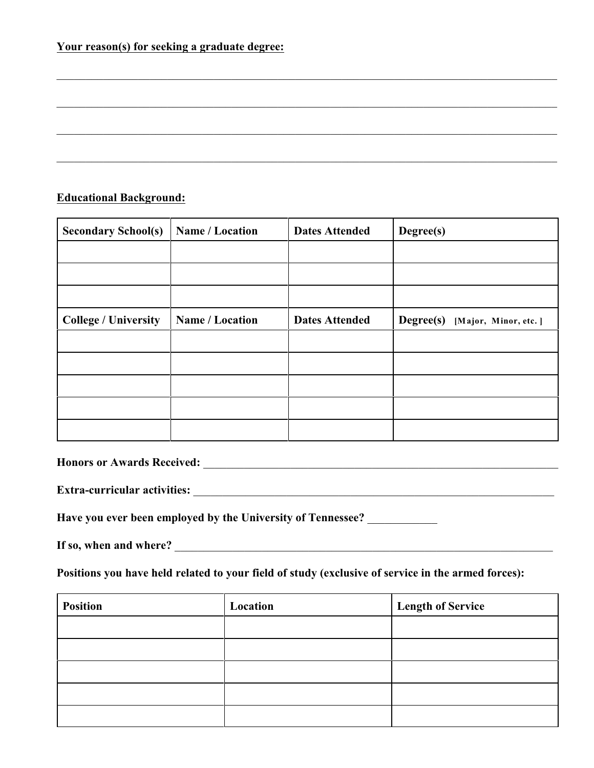| Your reason(s) for seeking a graduate degree: |
|-----------------------------------------------|
|-----------------------------------------------|

#### **Educational Background:**

| <b>Secondary School(s)</b>  | Name / Location | <b>Dates Attended</b> | Degree(s)                         |
|-----------------------------|-----------------|-----------------------|-----------------------------------|
|                             |                 |                       |                                   |
|                             |                 |                       |                                   |
|                             |                 |                       |                                   |
| <b>College / University</b> | Name / Location | <b>Dates Attended</b> | Degree(s)<br>[Major, Minor, etc.] |
|                             |                 |                       |                                   |
|                             |                 |                       |                                   |
|                             |                 |                       |                                   |
|                             |                 |                       |                                   |
|                             |                 |                       |                                   |

 $\_$  . The contribution of the contribution of the contribution of the contribution of  $\mathcal{L}_1$ 

 $\_$  , and the set of the set of the set of the set of the set of the set of the set of the set of the set of the set of the set of the set of the set of the set of the set of the set of the set of the set of the set of th

\_\_\_\_\_\_\_\_\_\_\_\_\_\_\_\_\_\_\_\_\_\_\_\_\_\_\_\_\_\_\_\_\_\_\_\_\_\_\_\_\_\_\_\_\_\_\_\_\_\_\_\_\_\_\_\_\_\_\_\_\_\_\_\_\_\_\_\_\_\_\_\_\_\_\_\_\_\_\_\_\_\_\_\_\_\_

 $\_$  , and the set of the set of the set of the set of the set of the set of the set of the set of the set of the set of the set of the set of the set of the set of the set of the set of the set of the set of the set of th

**Honors or Awards Received:** \_\_\_\_\_\_\_\_\_\_\_\_\_\_\_\_\_\_\_\_\_\_\_\_\_\_\_\_\_\_\_\_\_\_\_\_\_\_\_\_\_\_\_\_\_\_\_\_\_\_\_\_\_\_\_\_\_\_\_\_\_

**Extra-curricular activities:** \_\_\_\_\_\_\_\_\_\_\_\_\_\_\_\_\_\_\_\_\_\_\_\_\_\_\_\_\_\_\_\_\_\_\_\_\_\_\_\_\_\_\_\_\_\_\_\_\_\_\_\_\_\_\_\_\_\_\_\_\_\_

**Have you ever been employed by the University of Tennessee?** \_\_\_\_\_\_\_\_\_\_\_\_

If so, when and where?

**Positions you have held related to your field of study (exclusive of service in the armed forces):**

| <b>Position</b> | Location | <b>Length of Service</b> |
|-----------------|----------|--------------------------|
|                 |          |                          |
|                 |          |                          |
|                 |          |                          |
|                 |          |                          |
|                 |          |                          |